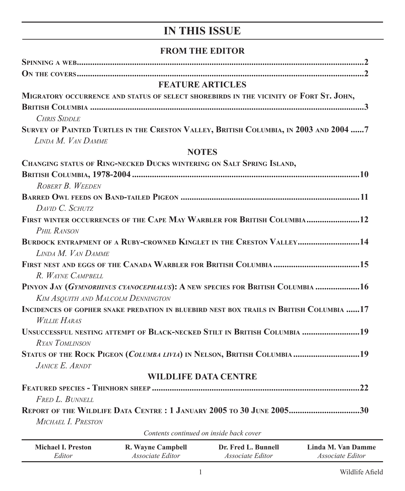# **IN THIS ISSUE**

## **FROM THE EDITOR**

| <b>FEATURE ARTICLES</b>                                                                                     |
|-------------------------------------------------------------------------------------------------------------|
| MIGRATORY OCCURRENCE AND STATUS OF SELECT SHOREBIRDS IN THE VICINITY OF FORT ST. JOHN,                      |
|                                                                                                             |
| <b>CHRIS SIDDLE</b>                                                                                         |
| SURVEY OF PAINTED TURTLES IN THE CRESTON VALLEY, BRITISH COLUMBIA, IN 2003 AND 2004 7<br>LINDA M. VAN DAMME |
| <b>NOTES</b>                                                                                                |
| <b>CHANGING STATUS OF RING-NECKED DUCKS WINTERING ON SALT SPRING ISLAND,</b>                                |
|                                                                                                             |
| ROBERT B. WEEDEN                                                                                            |
|                                                                                                             |
| DAVID C. SCHUTZ                                                                                             |
| FIRST WINTER OCCURRENCES OF THE CAPE MAY WARBLER FOR BRITISH COLUMBIA 12                                    |
| <b>PHIL RANSON</b>                                                                                          |
| BURDOCK ENTRAPMENT OF A RUBY-CROWNED KINGLET IN THE CRESTON VALLEY14                                        |
| LINDA M. VAN DAMME                                                                                          |
|                                                                                                             |
| R. WAYNE CAMPBELL                                                                                           |
| PINYON JAY (GYMNORHINUS CYANOCEPHALUS): A NEW SPECIES FOR BRITISH COLUMBIA  16                              |
| <b>KIM ASQUITH AND MALCOLM DENNINGTON</b>                                                                   |
| INCIDENCES OF GOPHER SNAKE PREDATION IN BLUEBIRD NEST BOX TRAILS IN BRITISH COLUMBIA 17                     |
| <b>WILLIE HARAS</b>                                                                                         |
| UNSUCCESSFUL NESTING ATTEMPT OF BLACK-NECKED STILT IN BRITISH COLUMBIA 19                                   |
| RYAN TOMLINSON                                                                                              |
| STATUS OF THE ROCK PIGEON (COLUMBA LIVIA) IN NELSON, BRITISH COLUMBIA 19                                    |
| JANICE E. ARNDT                                                                                             |
| <b>WILDLIFE DATA CENTRE</b>                                                                                 |
|                                                                                                             |
| FRED L. BUNNELL                                                                                             |
| REPORT OF THE WILDLIFE DATA CENTRE : 1 JANUARY 2005 TO 30 JUNE 200530<br>MICHAEL I. PRESTON                 |
| Contents continued on inside back cover                                                                     |
|                                                                                                             |

| Michael I. Preston | R. Wayne Campbell       | Dr. Fred L. Bunnell     | Linda M. Van Damme      |
|--------------------|-------------------------|-------------------------|-------------------------|
| Editor             | <i>Associate Editor</i> | <i>Associate Editor</i> | <i>Associate Editor</i> |